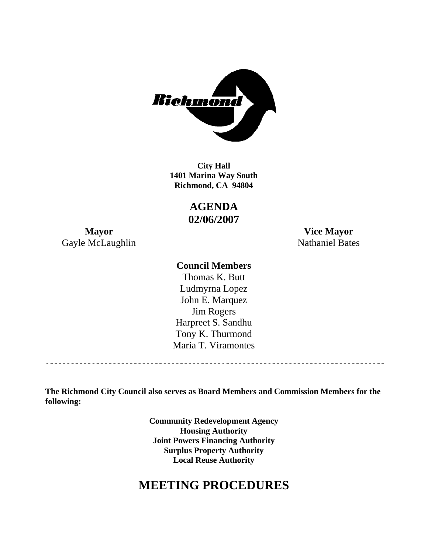

**1401 Marina Way South Richmond, CA 94804 City Hall** 

> **AGENDA 02/06/2007**

Gayle McLaughlin Nathaniel Bates

**Mayor Vice Mayor** 

### **Council Members**

Harpreet S. Sandhu Tony K. Thurmond Maria T. Viramontes Thomas K. Butt Ludmyrna Lopez John E. Marquez Jim Rogers

**The Richmond City Council also serves as Board Members and Commission Members for the following:** 

> **Community Redevelopment Agency Housing Authority Local Reuse Authority Joint Powers Financing Authority Surplus Property Authority**

# **MEETING PROCEDURES**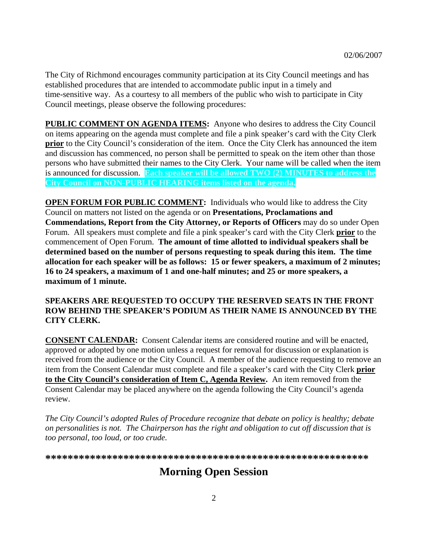The City of Richmond encourages community participation at its City Council meetings and has established procedures that are intended to accommodate public input in a timely and time-sensitive way. As a courtesy to all members of the public who wish to participate in City Council meetings, please observe the following procedures:

**PUBLIC COMMENT ON AGENDA ITEMS:** Anyone who desires to address the City Council on items appearing on the agenda must complete and file a pink speaker's card with the City Clerk **prior** to the City Council's consideration of the item. Once the City Clerk has announced the item and discussion has commenced, no person shall be permitted to speak on the item other than those persons who have submitted their names to the City Clerk. Your name will be called when the item is announced for discussion. **Each speaker will be allowed TWO (2) MINUTES to address the City Council on NON-PUBLIC HEARING items listed on the agenda.** 

**OPEN FORUM FOR PUBLIC COMMENT:** Individuals who would like to address the City Council on matters not listed on the agenda or on **Presentations, Proclamations and Commendations, Report from the City Attorney, or Reports of Officers** may do so under Open Forum. All speakers must complete and file a pink speaker's card with the City Clerk **prior** to the **h speaker will be as follows: 15 or fewer speakers, a maximum of 2 minutes; allocation for eac 6 to 24 speakers, a maximum of 1 and one-half minutes; and 25 or more speakers, a 1** commencement of Open Forum. **The amount of time allotted to individual speakers shall be determined based on the number of persons requesting to speak during this item. The time maximum of 1 minute.** 

#### **SPEAKERS ARE REQUESTED TO OCCUPY THE RESERVED SEATS IN THE FRONT ROW BEHIND THE SPEAKER'S PODIUM AS THEIR NAME IS ANNOUNCED BY THE CITY CLERK.**

**CONSENT CALENDAR:** Consent Calendar items are considered routine and will be enacted, approved or adopted by one motion unless a request for removal for discussion or explanation is received from the audience or the City Council. A member of the audience requesting to remove an item from the Consent Calendar must complete and file a speaker's card with the City Clerk **prior to the City Council's consideration of Item C, Agenda Review.** An item removed from the Consent Calendar may be placed anywhere on the agenda following the City Council's agenda review.

*The City Council's adopted Rules of Procedure recognize that debate on policy is healthy; debate on personalities is not. The Chairperson has the right and obligation to cut off discussion that is too pe rsonal, too loud, or too crude.* 

**\*\*\*\*\*\*\*\*\*\*\*\*\*\*\*\*\*\*\*\*\*\*\*\*\*\*\*\*\*\*\*\*\*\*\*\*\*\*\*\*\*\*\*\*\*\*\*\*\*\*\*\*\*\*\*\*\*\***

# **Morning Open Session**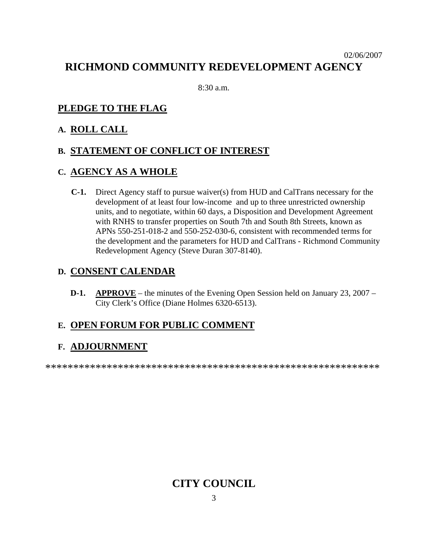## 02/06/2007 **RICHMOND COMMUNITY REDEVELOPMENT AGENCY**

8:30 a.m.

## **PLEDGE TO THE FLAG**

## **A. ROLL CALL**

## **B. STATEMENT OF CONFLICT OF INTEREST**

## **C. AGENCY AS A WHOLE**

**C-1.** Direct Agency staff to pursue waiver(s) from HUD and CalTrans necessary for the development of at least four low-income and up to three unrestricted ownership units, and to negotiate, within 60 days, a Disposition and Development Agreement with RNHS to transfer properties on South 7th and South 8th Streets, known as the development and the parameters for HUD and CalTrans - Richmond Community Redevelopment Agency (Steve Duran 307-8140). APNs 550-251-018-2 and 550-252-030-6, consistent with recommended terms for

### **D. CONSENT CALENDAR**

**D-1. APPROVE** – the minutes of the Evening Open Session held on January 23, 2007 – City Clerk's Office (Diane Holmes 6320-6513).

# **E. OPEN FORUM FOR PUBLIC COMMENT**

## **F. ADJOURNMENT**

\*\*\*\*\*\*\*\*\*\*\*\*\*\*\*\*\*\*\*\*\*\*\*\*\*\*\*\*\*\*\*\*\*\*\*\*\*\*\*\*\*\*\*\*\*\*\*\*\*\*\*\*\*\*\*\*\*\*\*\*

# **CITY COUNCIL**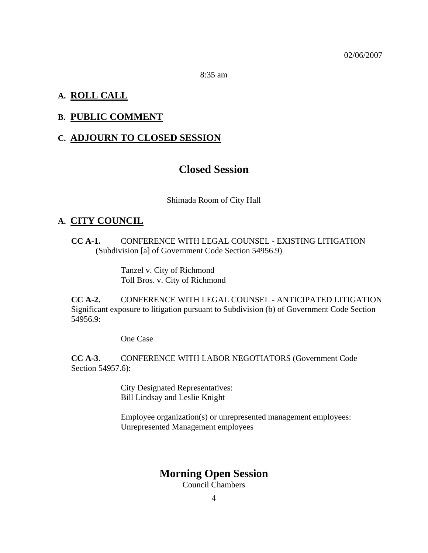8:35 am

#### **A. ROLL CALL**

## **B. PUBLIC COMMENT**

## **C. ADJOURN TO CLOSED SESSION**

## **Closed Session**

Shimada Room of City Hall

#### **A. CITY COUNCIL**

**CC A-1.** CONFERENCE WITH LEGAL COUNSEL - EXISTING LITIGATION (Subdivision [a] of Government Code Section 54956.9)

> Tanzel v. City of Richm ond Toll Bros. v. City of Richmond

**CC A-2.** CONFERENCE WITH LEGAL COUNSEL - ANTICIPATED LITIGATION Significant exposure to litigation pursuant to Subdivision (b) of Government Code Section 54956.9:

One Case

**CC A-3**. Section 54957.6): CONFERENCE WITH LABOR NEGOTIATORS (Government Code

> City Designated Representatives: Bill Lindsay and Leslie Knight

Employee organization(s) or unrepresented management employees: Unrepresented Management employees

## **Morning Open Session**

Council Chambers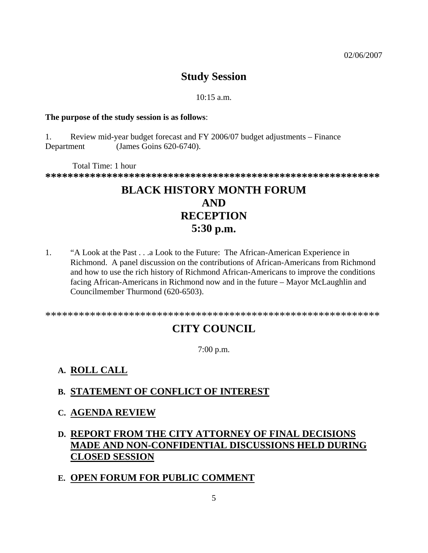# **Study Session**

#### $10:15$  a.m.

#### **The purpose of the study session is as follows**:

1. Review mid-year budget forecast and FY 2006/07 budget adjustm ents – Finance Department (James Goins 620- 6740).

 Total Time: 1 hour **\*\*\*\*\*\*\*\*\*\*\*\*\*\*\*\*\*\*\*\*\*\*\*\*\*\*\*\*\*\*\*\*\*\*\*\*\*\*\*\*\*\*\*\*\*\*\*\*\*\*\*\*\*\*\*\*\*\*\*\*** 

# **5:30** p.m. **BLACK HISTORY MONTH FORUM AND RECEPTION**

and how to use the rich history of Richmond African-Americans to improve the conditions facing African-Americans in Richmond now and in the future – Mayor McLaughlin and Councilmember Thurmond (620-6503 ). 1. "A Look at the Past . . .a Look to the Future: The African-American Experience in Richmond. A panel discussion on the contributions of African-Americans from Richmond

\*\* \*\*\*\*\*\*\*\*\*\*\*\*\*\*\*\*\*\*\*\*\*\*\*\*\*\*\*\*\*\*\*\*\*\*\*\*\*\*\*\*\*\*\*\* \* \*\*\*\*\*\*\*\*\*\*\*\*\*

# **CITY COUNCIL**

7:00 p.m.

## **A. ROLL CALL**

## **B. STATEMENT OF CONFLICT OF INTEREST**

### **C. AGENDA REVIEW**

## **D. REPORT FROM THE CITY ATTORNEY OF FINAL DECISIONS MADE AND NON-CONFIDENTIAL DISCUSSIONS HELD DURING CLOSED SESSION**

## **E. OPEN FORUM FOR PUBLIC COMMENT**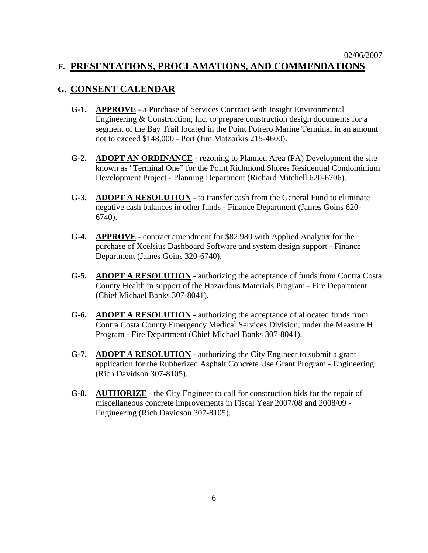## **G. CONSENT CALENDAR**

- **G-1. APPROVE** a Purchase of Services Contract with Insight Environmental Engineering & Construction, Inc. to prepare construction design documents for a segment of the Bay Trail located in the Point Potrero Marine Terminal in an amount not to exceed \$148,000 - Port (Jim Matzorkis 215-4600).
- G-2. **ADOPT AN ORDINANCE** rezoning to Planned Area (PA) Development the site known as "Terminal One" for the Point Richmond Shores Residential Condominium Development Project - Planning Department (Richard Mitchell 620-6706).
- G-3. **ADOPT A RESOLUTION** to transfer cash from the General Fund to eliminate negative cash balances in other funds - Finance Department (James Goins 620- 6740).
- **G-4. APPROVE** - contract amendment for \$82,980 with Applied Analytix for the purchase of Xcelsius Dashboard Software and system design support - Finance Department (James Goins 320-6740).
- G-5. **ADOPT A RESOLUTION** authorizing the acceptance of funds from Contra Costa County Health in support of the Hazardous Materials Program - Fire Departm ent (Chief Michael Banks 307-8041).
- **G-6. ADOPT A RESOLUTION** authorizing the acceptance of allocated funds from Contra Costa County Emergency Medical Services Division, under the Measure H Program - Fire Department (Chief Michael Banks 307-8041).
- **G-7. ADOPT A RESOLUTION** authorizing the City Engineer to submit a grant application for the Rubberized Asphalt Concrete Use Grant Program - Engineering (Rich Davidson 307-8105).
- **G-8. AUTHORIZE** the City Engineer to call for construction bids for the repair of miscellaneous concrete improvements in Fiscal Year 2007/08 and 2008/09 - Engineering (Rich Davidson 307-8105).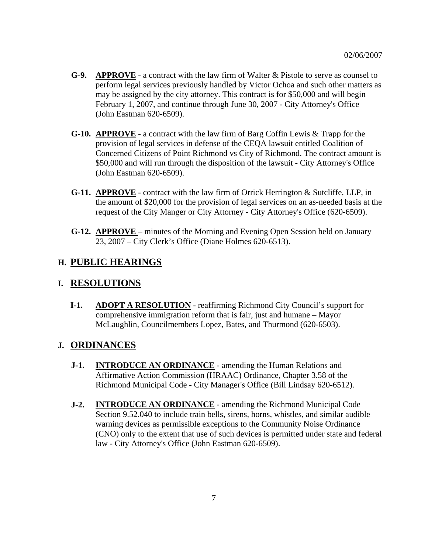- **G-9. APPROVE** a contract with the law firm of Walter & Pistole to serve as counsel to perform legal services previously handled by Victor Ochoa and such other matters as may be assigned by the city attorney. This contract is for \$50,000 and will begin February 1, 2007, and continue through June 30, 2007 - City Attorney's Office (John Eastman 620-6509).
- **G-10. APPROVE** a contract with the law firm of Barg Coffin Lewis & Trapp for the provision of legal services in defense of the CEQA lawsuit entitled Coalition of Concerned Citizens of Point Richmond vs City of Richmond. The contract amount is \$50,000 and will run through the disposition of the lawsuit - City Attorney's Office (John Eastman 620-6509).
- **G-11. APPROVE** contract with the law firm of Orrick Herrington & Sutcliffe, LLP, in the amount of \$20,000 for the provision of legal services on an as-needed basis at the request of the City Manger or City Attorney - City Attorney's Office (620-6509).
- **G-12. APPROVE**  minutes of the Morning and Evening Open Session held on January 23, 2007 – City Clerk's Office (Diane Holmes 620-6513).

## **H. PUBLIC HEARINGS**

## **I. RESOLUTIONS**

**I-1.** ADOPT A RESOLUTION - reaffirming Richmond City Council's support for comprehensive immigration reform that is fair, just and humane – Mayor McLaughlin, Councilmembers Lopez, Bates, and Thurmond (620-6503).

## **J. ORDINANCES**

- **J-1. INTRODUCE AN ORDINANCE** amending the Human Relations and Affirmative Action Commission (HRAAC) Ordinance, Chapter 3.58 of the Richmond Municipal Code - City Manager's Office (Bill Lindsay 620-6512).
- **J-2. INTRODUCE AN ORDINANCE** amending the Richmond Municipal Code Section 9.52.040 to include train bells, sirens, horns, whistles, and similar audible warning devices as permissible exceptions to the Community Noise Ordinance (CNO) only to the extent that use of such devices is permitted under state and federal law - City Attorney's Office (John Eastman 620-6509).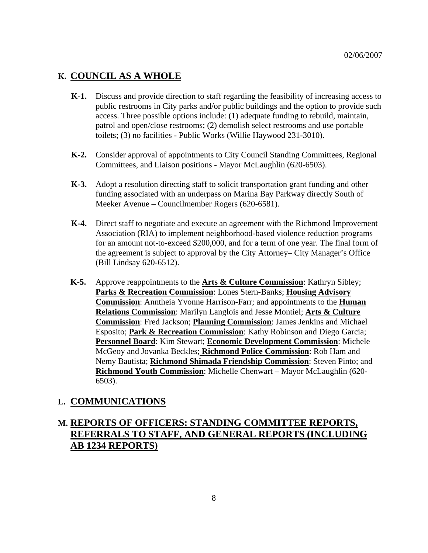### **K. COUNCIL AS A WHOLE**

- **K-1.** Discuss and provide direction to staff regarding the feasibility of increasing access to public restrooms in City parks and/or public buildings and the option to provide such access. Three possible options include: (1) adequate funding to rebuild, maintain, patrol and open/close restrooms; (2) demolish select restrooms and use portable toilets; (3) no facilities - Public Works (Willie Haywood 231-3010).
- **K-2.** Consider approval of appointments to City Council Standing Committees, Regional Committees, and Liaison positions - Mayor McLaughlin (620-6503).
- **K-3.** Adopt a resolution directing staff to solicit transportation grant funding and other funding associated with an underpass on Marina Bay Parkway directly South of Meeker Avenue – Councilmember Rogers (620-6581).
- **K-4.** Direct staff to negotiate and execute an agreement with the Richmond Improvement Association (RIA) to implement neighborhood-based violence reduction programs for an amount not-to-exceed \$200,000, and for a term of one year. The final form of the agreement is subject to approval by the City Attorney– City Manager's Office (Bill Lindsay 620-6512).
- **K-5.** Approve reappointments to the **Arts & Culture Commission**: Kathryn Sibley; **Parks & Recreation Commission**: Lones Stern-Banks; **Housing Advisory Commission**: Anntheia Yvonne Harrison-Farr; and appointments to the **Human Relations Commission**: Marilyn Langlois and Jesse Montiel; **Arts & Culture Commission**: Fred Jackson; **Planning Commission**: James Jenkins and Michael Esposito; **Park & Recreation Commission**: Kathy Robinson and Diego Garcia; **Personnel Board**: Kim Stewart; **Economic Development Commission**: Michele McGeoy and Jovanka Beckles; **Richmond Police Commission**: Rob Ham and Nemy Bautista; **Richmond Shimada Friendship Commission**: Steven Pinto; and **Richmond Youth Commission**: Michelle Chenwart – Mayor McLaughlin (620- 6503).

### **L. COMMUNICATIONS**

## **M. REPORTS OF OFFICERS: STANDING COMMITTEE REPORTS, REFERRALS TO STAFF, AND GENERAL REPORTS (INCLUDING AB 1234 REPORTS)**